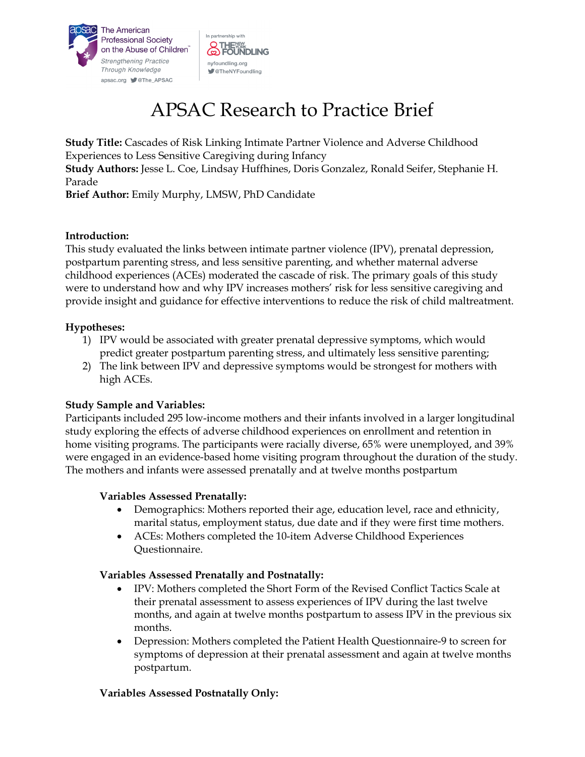



# APSAC Research to Practice Brief

**Study Title:** Cascades of Risk Linking Intimate Partner Violence and Adverse Childhood Experiences to Less Sensitive Caregiving during Infancy **Study Authors:** Jesse L. Coe, Lindsay Huffhines, Doris Gonzalez, Ronald Seifer, Stephanie H. Parade

**Brief Author:** Emily Murphy, LMSW, PhD Candidate

## **Introduction:**

This study evaluated the links between intimate partner violence (IPV), prenatal depression, postpartum parenting stress, and less sensitive parenting, and whether maternal adverse childhood experiences (ACEs) moderated the cascade of risk. The primary goals of this study were to understand how and why IPV increases mothers' risk for less sensitive caregiving and provide insight and guidance for effective interventions to reduce the risk of child maltreatment.

## **Hypotheses:**

- 1) IPV would be associated with greater prenatal depressive symptoms, which would predict greater postpartum parenting stress, and ultimately less sensitive parenting;
- 2) The link between IPV and depressive symptoms would be strongest for mothers with high ACEs.

# **Study Sample and Variables:**

Participants included 295 low-income mothers and their infants involved in a larger longitudinal study exploring the effects of adverse childhood experiences on enrollment and retention in home visiting programs. The participants were racially diverse, 65% were unemployed, and 39% were engaged in an evidence-based home visiting program throughout the duration of the study. The mothers and infants were assessed prenatally and at twelve months postpartum

#### **Variables Assessed Prenatally:**

- Demographics: Mothers reported their age, education level, race and ethnicity, marital status, employment status, due date and if they were first time mothers.
- ACEs: Mothers completed the 10-item Adverse Childhood Experiences Questionnaire.

# **Variables Assessed Prenatally and Postnatally:**

- IPV: Mothers completed the Short Form of the Revised Conflict Tactics Scale at their prenatal assessment to assess experiences of IPV during the last twelve months, and again at twelve months postpartum to assess IPV in the previous six months.
- Depression: Mothers completed the Patient Health Questionnaire-9 to screen for symptoms of depression at their prenatal assessment and again at twelve months postpartum.

# **Variables Assessed Postnatally Only:**